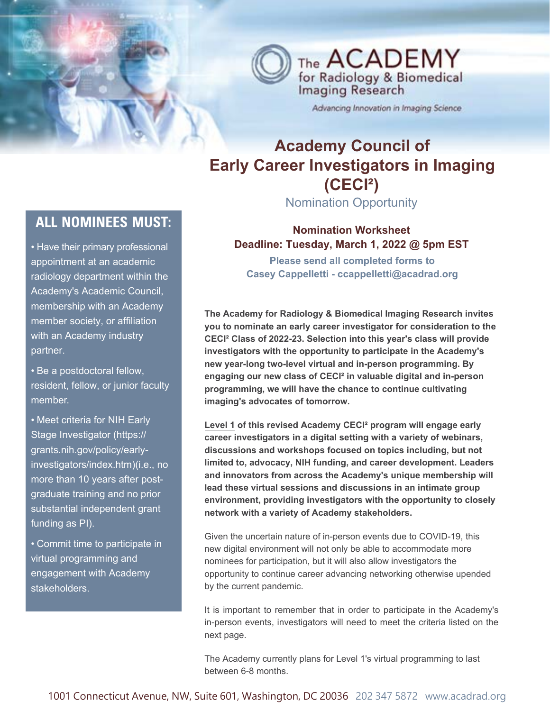

Advancing Innovation in Imaging Science

# **Academy Council of Early Career Investigators in Imaging (CECI²)**

Nomination Opportunity

# **all nominees must:**

- Have their primary professional appointment at an academic radiology department within the Academy's Academic Council, membership with an Academy member society, or affiliation with an Academy industry partner.
- Be a postdoctoral fellow, resident, fellow, or junior faculty member.
- Meet criteria for NIH Early Stage Investigator (https:// grants.nih.gov/policy/earlyinvestigators/index.htm)(i.e., no more than 10 years after postgraduate training and no prior substantial independent grant funding as PI).
- Commit time to participate in virtual programming and engagement with Academy stakeholders.

**Nomination Worksheet Deadline: Tuesday, March 1, 2022 @ 5pm EST**

**Please send all completed forms to Casey Cappelletti - ccappelletti@acadrad.org**

**The Academy for Radiology & Biomedical Imaging Research invites you to nominate an early career investigator for consideration to the CECI² Class of 2022-23. Selection into this year's class will provide investigators with the opportunity to participate in the Academy's new year-long two-level virtual and in-person programming. By engaging our new class of CECI² in valuable digital and in-person programming, we will have the chance to continue cultivating imaging's advocates of tomorrow.** 

**Level 1 of this revised Academy CECI² program will engage early career investigators in a digital setting with a variety of webinars, discussions and workshops focused on topics including, but not limited to, advocacy, NIH funding, and career development. Leaders and innovators from across the Academy's unique membership will lead these virtual sessions and discussions in an intimate group environment, providing investigators with the opportunity to closely network with a variety of Academy stakeholders.** 

Given the uncertain nature of in-person events due to COVID-19, this new digital environment will not only be able to accommodate more nominees for participation, but it will also allow investigators the opportunity to continue career advancing networking otherwise upended by the current pandemic.

It is important to remember that in order to participate in the Academy's in-person events, investigators will need to meet the criteria listed on the next page.

The Academy currently plans for Level 1's virtual programming to last between 6-8 months.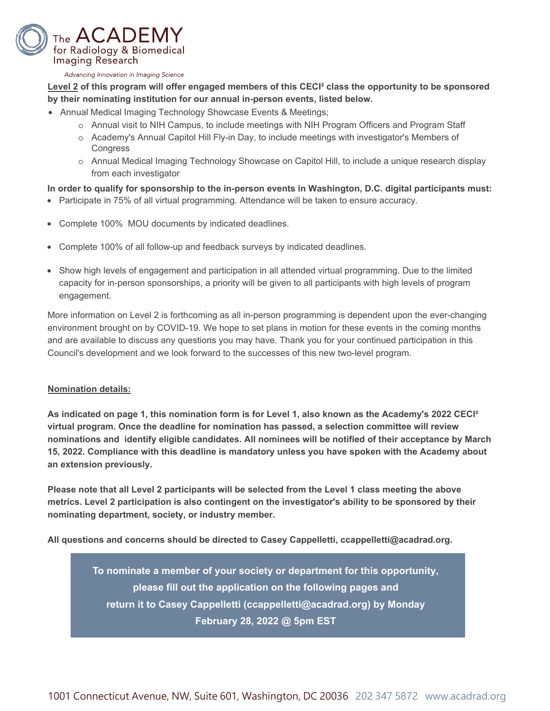

#### Advancing Innovation in Imaging Science

**Level 2 of this program will offer engaged members of this CECI² class the opportunity to be sponsored by their nominating institution for our annual in-person events, listed below.** 

- Annual Medical Imaging Technology Showcase Events & Meetings;
	- o Annual visit to NIH Campus, to include meetings with NIH Program Officers and Program Staff
	- o Academy's Annual Capitol Hill Fly-in Day, to include meetings with investigator's Members of **Congress**
	- o Annual Medical Imaging Technology Showcase on Capitol Hill, to include a unique research display from each investigator

#### **In order to qualify for sponsorship to the in-person events in Washington, D.C. digital participants must:**

- Participate in 75% of all virtual programming. Attendance will be taken to ensure accuracy.
- Complete 100% MOU documents by indicated deadlines.
- Complete 100% of all follow-up and feedback surveys by indicated deadlines.
- Show high levels of engagement and participation in all attended virtual programming. Due to the limited capacity for in-person sponsorships, a priority will be given to all participants with high levels of program engagement.

More information on Level 2 is forthcoming as all in-person programming is dependent upon the ever-changing environment brought on by COVID-19. We hope to set plans in motion for these events in the coming months and are available to discuss any questions you may have. Thank you for your continued participation in this Council's development and we look forward to the successes of this new two-level program.

#### **Nomination details:**

**As indicated on page 1, this nomination form is for Level 1, also known as the Academy's 2022 CECI² virtual program. Once the deadline for nomination has passed, a selection committee will review nominations and identify eligible candidates. All nominees will be notified of their acceptance by March 15, 2022. Compliance with this deadline is mandatory unless you have spoken with the Academy about an extension previously.**

**Please note that all Level 2 participants will be selected from the Level 1 class meeting the above metrics. Level 2 participation is also contingent on the investigator's ability to be sponsored by their nominating department, society, or industry member.** 

**All questions and concerns should be directed to Casey Cappelletti, ccappelletti@acadrad.org.** 

**To nominate a member of your society or department for this opportunity, please fill out the application on the following pages and return it to Casey Cappelletti (ccappelletti@acadrad.org) by Monday February 28, 2022 @ 5pm EST**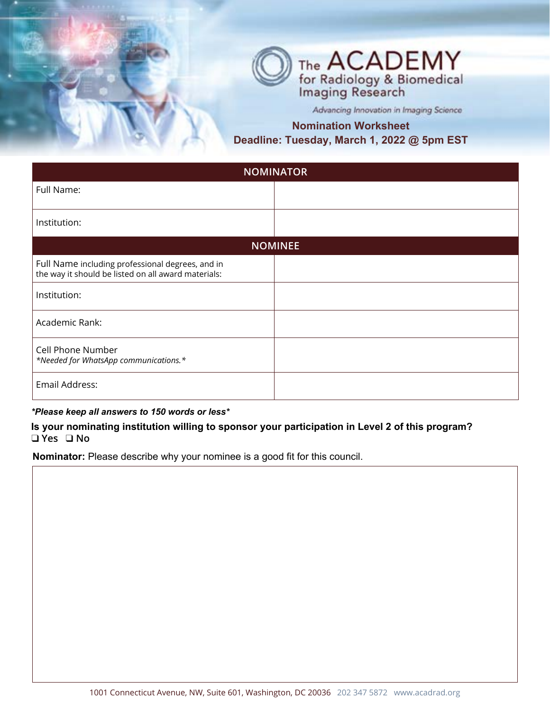

Advancing Innovation in Imaging Science

## **Nomination Worksheet Deadline: Tuesday, March 1, 2022 @ 5pm EST**

| <b>NOMINATOR</b>                                                                                        |  |
|---------------------------------------------------------------------------------------------------------|--|
| Full Name:                                                                                              |  |
| Institution:                                                                                            |  |
| <b>NOMINEE</b>                                                                                          |  |
| Full Name including professional degrees, and in<br>the way it should be listed on all award materials: |  |
| Institution:                                                                                            |  |
| Academic Rank:                                                                                          |  |
| Cell Phone Number<br>*Needed for WhatsApp communications.*                                              |  |
| Email Address:                                                                                          |  |

#### *\*Please keep all answers to 150 words or less\**

**Is your nominating institution willing to sponsor your participation in Level 2 of this program?** ❑ **Yes** ❑ **No**

**Nominator:** Please describe why your nominee is a good fit for this council.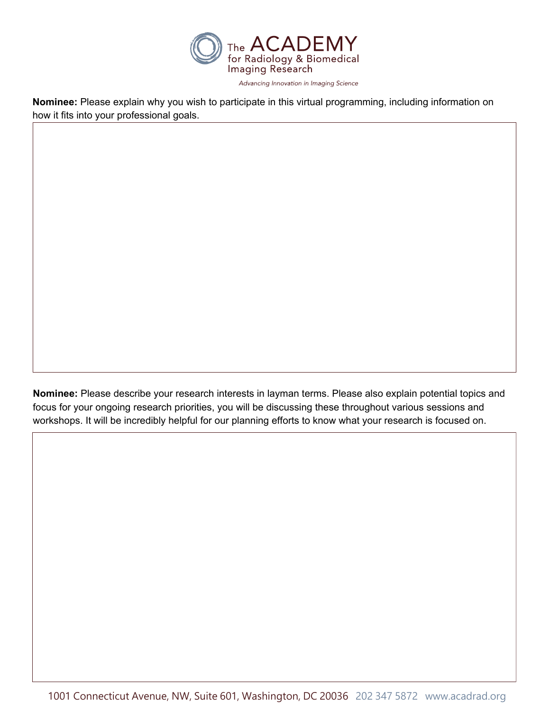

**Nominee:** Please explain why you wish to participate in this virtual programming, including information on how it fits into your professional goals.

**Nominee:** Please describe your research interests in layman terms. Please also explain potential topics and focus for your ongoing research priorities, you will be discussing these throughout various sessions and workshops. It will be incredibly helpful for our planning efforts to know what your research is focused on.